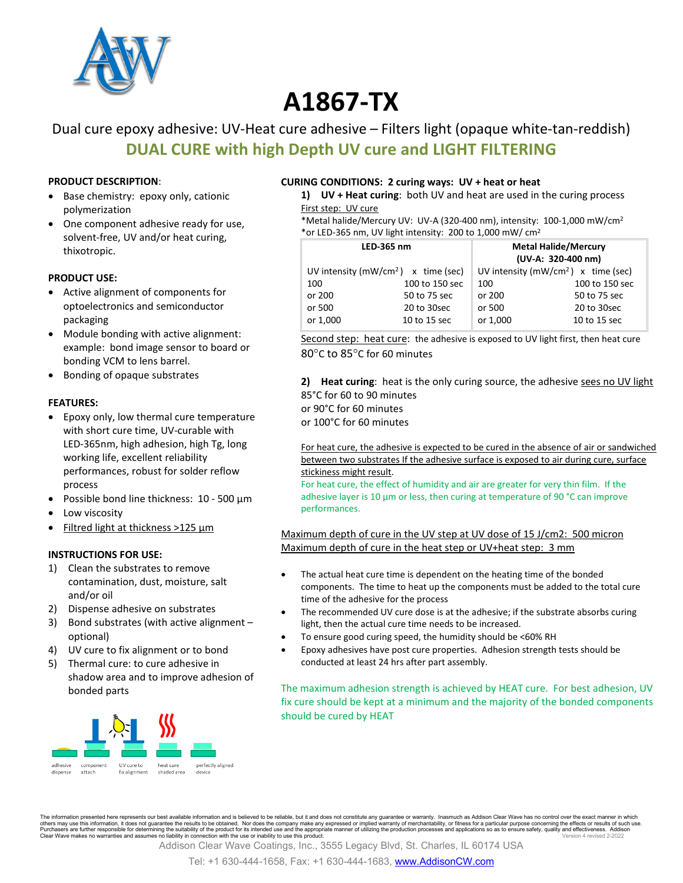

# **A1867-TX**

# Dual cure epoxy adhesive: UV-Heat cure adhesive – Filters light (opaque white-tan-reddish) **DUAL CURE with high Depth UV cure and LIGHT FILTERING**

#### **PRODUCT DESCRIPTION**:

- Base chemistry: epoxy only, cationic polymerization
- One component adhesive ready for use, solvent-free, UV and/or heat curing, thixotropic.

#### **PRODUCT USE:**

- Active alignment of components for optoelectronics and semiconductor packaging
- Module bonding with active alignment: example: bond image sensor to board or bonding VCM to lens barrel.
- Bonding of opaque substrates

#### **FEATURES:**

- Epoxy only, low thermal cure temperature with short cure time, UV-curable with LED-365nm, high adhesion, high Tg, long working life, excellent reliability performances, robust for solder reflow process
- Possible bond line thickness: 10 500 µm
- Low viscosity
- Filtred light at thickness >125 µm

#### **INSTRUCTIONS FOR USE:**

- 1) Clean the substrates to remove contamination, dust, moisture, salt and/or oil
- 2) Dispense adhesive on substrates
- 3) Bond substrates (with active alignment optional)
- 4) UV cure to fix alignment or to bond
- 5) Thermal cure: to cure adhesive in shadow area and to improve adhesion of bonded parts



#### **CURING CONDITIONS: 2 curing ways: UV + heat or heat**

**1) UV + Heat curing**: both UV and heat are used in the curing process First step: UV cure

\*Metal halide/Mercury UV: UV-A (320-400 nm), intensity: 100-1,000 mW/cm2 \*or LED-365 nm, UV light intensity: 200 to 1,000 mW/ cm2

| LED-365 nm                              |                | <b>Metal Halide/Mercury</b><br>(UV-A: 320-400 nm) |                |
|-----------------------------------------|----------------|---------------------------------------------------|----------------|
|                                         |                |                                                   |                |
| UV intensity ( $mW/cm^2$ ) x time (sec) |                | UV intensity ( $mW/cm2$ ) x time (sec)            |                |
| 100                                     | 100 to 150 sec | 100                                               | 100 to 150 sec |
| or 200                                  | 50 to 75 sec   | or 200                                            | 50 to 75 sec   |
| or 500                                  | 20 to 30sec    | or 500                                            | 20 to 30sec    |
| or 1,000                                | 10 to 15 sec   | or 1,000                                          | 10 to 15 sec   |

Second step: heat cure: the adhesive is exposed to UV light first, then heat cure 80°C to 85°C for 60 minutes

**2) Heat curing**: heat is the only curing source, the adhesive sees no UV light 85°C for 60 to 90 minutes or 90°C for 60 minutes or 100°C for 60 minutes

For heat cure, the adhesive is expected to be cured in the absence of air or sandwiched between two substrates If the adhesive surface is exposed to air during cure, surface stickiness might result.

For heat cure, the effect of humidity and air are greater for very thin film. If the adhesive layer is 10 µm or less, then curing at temperature of 90 °C can improve performances.

Maximum depth of cure in the UV step at UV dose of 15 J/cm2: 500 micron Maximum depth of cure in the heat step or UV+heat step: 3 mm

- The actual heat cure time is dependent on the heating time of the bonded components. The time to heat up the components must be added to the total cure time of the adhesive for the process
- The recommended UV cure dose is at the adhesive; if the substrate absorbs curing light, then the actual cure time needs to be increased.
- To ensure good curing speed, the humidity should be <60% RH
- Epoxy adhesives have post cure properties. Adhesion strength tests should be conducted at least 24 hrs after part assembly.

The maximum adhesion strength is achieved by HEAT cure. For best adhesion, UV fix cure should be kept at a minimum and the majority of the bonded components should be cured by HEAT

The information presented here represents our best available information and is believed to be reliable, but it and does not constitute any guarantee or warranty. Inasmuch as Addison Clear Wave has no control over the exac others may use this information, it does not guarantee the results to be obtained. Nor does the company make any expressed or implied warranty of merchantability, or fitness for a particular purpose concerning the effects

Addison Clear Wave Coatings, Inc., 3555 Legacy Blvd, St. Charles, IL 60174 USA

Tel: +1 630-444-1658, Fax: +1 630-444-1683, [www.AddisonCW.com](http://www.addisoncw.com/)